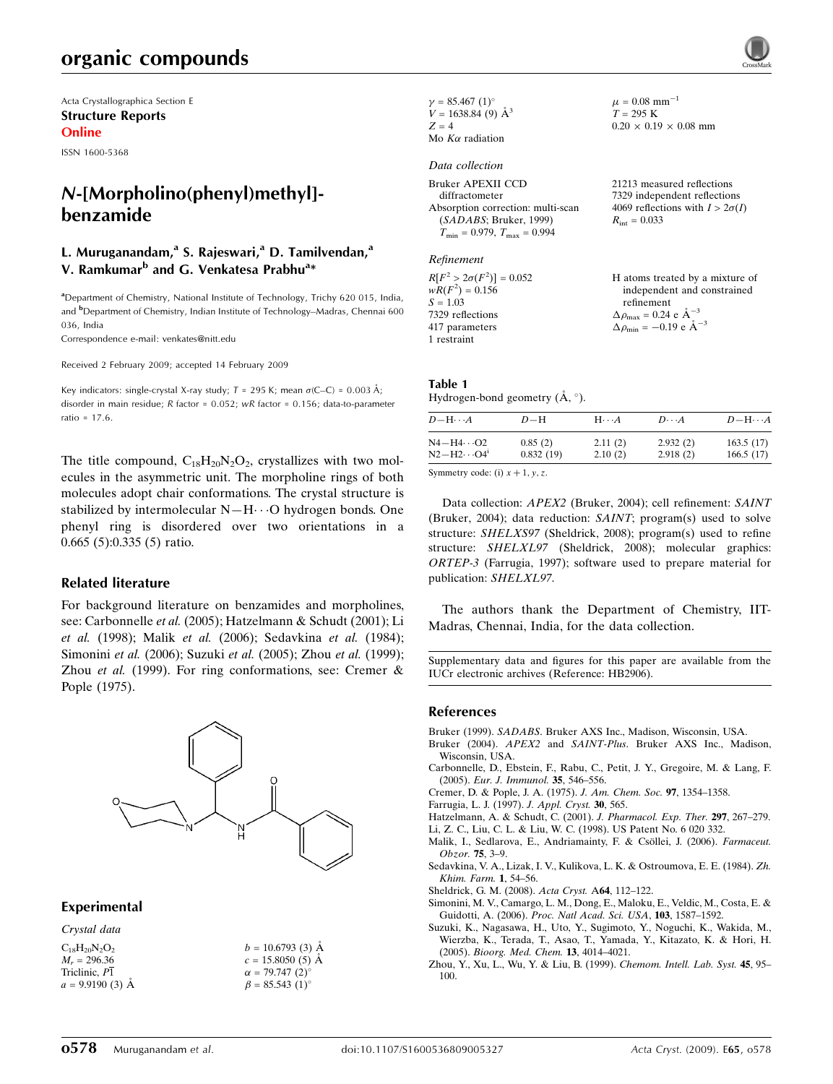# organic compounds

Acta Crystallographica Section E Structure Reports Online

ISSN 1600-5368

# *N*-[Morpholino(phenyl)methyl] benzamide

## L. Muruganandam,<sup>a</sup> S. Rajeswari,<sup>a</sup> D. Tamilvendan,<sup>a</sup> V. Ramkumar<sup>b</sup> and G. Venkatesa Prabhu<sup>a</sup>\*

<sup>a</sup>Department of Chemistry, National Institute of Technology, Trichy 620 015, India, and <sup>b</sup>Department of Chemistry, Indian Institute of Technology–Madras, Chennai 600 036, India

Correspondence e-mail: venkates@nitt.edu

Received 2 February 2009; accepted 14 February 2009

Key indicators: single-crystal X-ray study;  $T = 295$  K; mean  $\sigma$ (C–C) = 0.003 Å; disorder in main residue; R factor = 0.052; wR factor = 0.156; data-to-parameter ratio = 17.6.

The title compound,  $C_{18}H_{20}N_2O_2$ , crystallizes with two molecules in the asymmetric unit. The morpholine rings of both molecules adopt chair conformations. The crystal structure is stabilized by intermolecular  $N-H\cdots O$  hydrogen bonds. One phenyl ring is disordered over two orientations in a 0.665 (5):0.335 (5) ratio.

#### Related literature

For background literature on benzamides and morpholines, see: Carbonnelle et al. (2005); Hatzelmann & Schudt (2001); Li et al. (1998); Malik et al. (2006); Sedavkina et al. (1984); Simonini et al. (2006); Suzuki et al. (2005); Zhou et al. (1999); Zhou et al. (1999). For ring conformations, see: Cremer & Pople (1975).



#### Experimental

Crystal data

| $C_{18}H_{20}N_2O_2$ | $b = 10.6793(3)$ Å     |
|----------------------|------------------------|
| $M_r = 296.36$       | $c = 15.8050(5)$ A     |
| Triclinic, P1        | $\alpha = 79.747(2)$ ° |
| $a = 9.9190(3)$ Å    | $\beta = 85.543(1)$ °  |

 $\gamma = 85.467 \ (1)^{\circ}$  $V = 1638.84$  (9)  $\AA^3$  $Z = 4$ Mo  $K\alpha$  radiation

#### Data collection

| Bruker APEXII CCD                       |  |
|-----------------------------------------|--|
| diffractometer                          |  |
| Absorption correction: multi-scan       |  |
| (SADABS; Bruker, 1999)                  |  |
| $T_{\min} = 0.979$ , $T_{\max} = 0.994$ |  |

Refinement

| $R[F^2 > 2\sigma(F^2)] = 0.052$ | H atoms treated by a mixture of                      |
|---------------------------------|------------------------------------------------------|
| $wR(F^2) = 0.156$               | independent and constrained                          |
| $S = 1.03$                      | refinement                                           |
| 7329 reflections                | $\Delta \rho_{\text{max}} = 0.24 \text{ e A}^{-3}$   |
| 417 parameters                  | $\Delta \rho_{\text{min}} = -0.19$ e $\rm{\AA}^{-3}$ |
| 1 restraint                     |                                                      |

 $\mu = 0.08$  mm<sup>-1</sup>  $T=295~\mathrm{K}$ 

 $R_{\text{int}} = 0.033$ 

 $0.20 \times 0.19 \times 0.08$  mm

21213 measured reflections 7329 independent reflections 4069 reflections with  $I > 2\sigma(I)$ 

# Table 1

Hydrogen-bond geometry  $(\AA, \degree)$ .

| $D - H \cdots A$              | $D-H$     | $H\cdots A$ | $D\cdots A$ | $D - H \cdots A$ |
|-------------------------------|-----------|-------------|-------------|------------------|
| $N4 - H4 \cdots O2$           | 0.85(2)   | 2.11(2)     | 2.932(2)    | 163.5(17)        |
| $N2-H2\cdots O4$ <sup>1</sup> | 0.832(19) | 2.10(2)     | 2.918(2)    | 166.5(17)        |

Symmetry code: (i)  $x + 1$ ,  $y$ , z.

Data collection: APEX2 (Bruker, 2004); cell refinement: SAINT (Bruker, 2004); data reduction: SAINT; program(s) used to solve structure: SHELXS97 (Sheldrick, 2008); program(s) used to refine structure: SHELXL97 (Sheldrick, 2008); molecular graphics: ORTEP-3 (Farrugia, 1997); software used to prepare material for publication: SHELXL97.

The authors thank the Department of Chemistry, IIT-Madras, Chennai, India, for the data collection.

Supplementary data and figures for this paper are available from the IUCr electronic archives (Reference: HB2906).

#### References

- Bruker (1999). SADABS. Bruker AXS Inc., Madison, Wisconsin, USA.
- Bruker (2004). APEX2 and SAINT-Plus. Bruker AXS Inc., Madison, Wisconsin, USA.
- Carbonnelle, D., Ebstein, F., Rabu, C., Petit, J. Y., Gregoire, M. & Lang, F. (2005). Eur. J. Immunol. 35, 546–556.
- Cremer, D. & Pople, J. A. (1975). J. Am. Chem. Soc. 97, 1354–1358.
- Farrugia, L. J. (1997). J. Appl. Cryst. 30, 565.
- Hatzelmann, A. & Schudt, C. (2001). J. Pharmacol. Exp. Ther. 297, 267–279.
- Li, Z. C., Liu, C. L. & Liu, W. C. (1998). US Patent No. 6 020 332.
- Malik, I., Sedlarova, E., Andriamainty, F. & Csöllei, J. (2006). Farmaceut. Obzor. 75, 3–9.
- Sedavkina, V. A., Lizak, I. V., Kulikova, L. K. & Ostroumova, E. E. (1984). Zh. Khim. Farm. 1, 54–56.
- Sheldrick, G. M. (2008). Acta Cryst. A64, 112–122.
- Simonini, M. V., Camargo, L. M., Dong, E., Maloku, E., Veldic, M., Costa, E. & Guidotti, A. (2006). Proc. Natl Acad. Sci. USA, 103, 1587–1592.
- Suzuki, K., Nagasawa, H., Uto, Y., Sugimoto, Y., Noguchi, K., Wakida, M., Wierzba, K., Terada, T., Asao, T., Yamada, Y., Kitazato, K. & Hori, H. (2005). Bioorg. Med. Chem. 13, 4014–4021.
- Zhou, Y., Xu, L., Wu, Y. & Liu, B. (1999). Chemom. Intell. Lab. Syst. 45, 95– 100.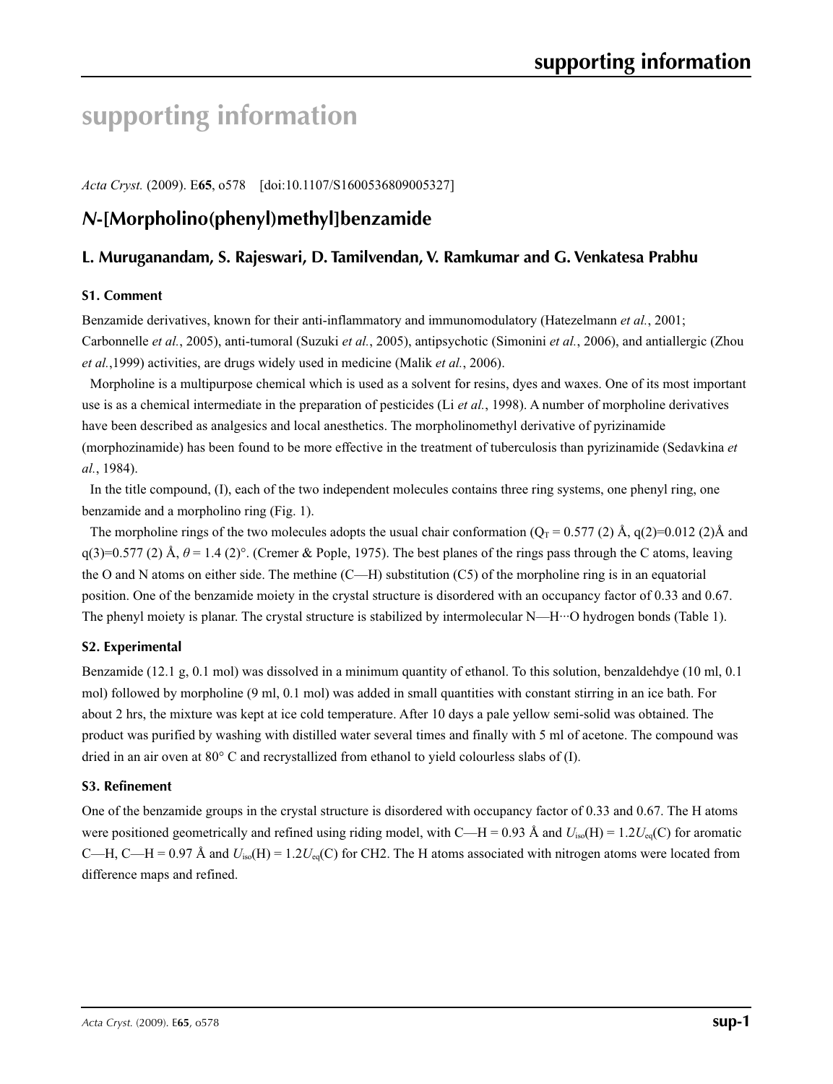# **supporting information**

*Acta Cryst.* (2009). E**65**, o578 [doi:10.1107/S1600536809005327]

# *N***-[Morpholino(phenyl)methyl]benzamide**

## **L. Muruganandam, S. Rajeswari, D. Tamilvendan, V. Ramkumar and G. Venkatesa Prabhu**

#### **S1. Comment**

Benzamide derivatives, known for their anti-inflammatory and immunomodulatory (Hatezelmann *et al.*, 2001; Carbonnelle *et al.*, 2005), anti-tumoral (Suzuki *et al.*, 2005), antipsychotic (Simonini *et al.*, 2006), and antiallergic (Zhou *et al.*,1999) activities, are drugs widely used in medicine (Malik *et al.*, 2006).

Morpholine is a multipurpose chemical which is used as a solvent for resins, dyes and waxes. One of its most important use is as a chemical intermediate in the preparation of pesticides (Li *et al.*, 1998). A number of morpholine derivatives have been described as analgesics and local anesthetics. The morpholinomethyl derivative of pyrizinamide (morphozinamide) has been found to be more effective in the treatment of tuberculosis than pyrizinamide (Sedavkina *et al.*, 1984).

In the title compound, (I), each of the two independent molecules contains three ring systems, one phenyl ring, one benzamide and a morpholino ring (Fig. 1).

The morpholine rings of the two molecules adopts the usual chair conformation ( $Q_T = 0.577$  (2) Å, q(2)=0.012 (2)Å and  $q(3)=0.577(2)$  Å,  $\theta = 1.4(2)$ °. (Cremer & Pople, 1975). The best planes of the rings pass through the C atoms, leaving the O and N atoms on either side. The methine (C—H) substitution (C5) of the morpholine ring is in an equatorial position. One of the benzamide moiety in the crystal structure is disordered with an occupancy factor of 0.33 and 0.67. The phenyl moiety is planar. The crystal structure is stabilized by intermolecular N—H···O hydrogen bonds (Table 1).

## **S2. Experimental**

Benzamide (12.1 g, 0.1 mol) was dissolved in a minimum quantity of ethanol. To this solution, benzaldehdye (10 ml, 0.1 mol) followed by morpholine (9 ml, 0.1 mol) was added in small quantities with constant stirring in an ice bath. For about 2 hrs, the mixture was kept at ice cold temperature. After 10 days a pale yellow semi-solid was obtained. The product was purified by washing with distilled water several times and finally with 5 ml of acetone. The compound was dried in an air oven at 80° C and recrystallized from ethanol to yield colourless slabs of (I).

#### **S3. Refinement**

One of the benzamide groups in the crystal structure is disordered with occupancy factor of 0.33 and 0.67. The H atoms were positioned geometrically and refined using riding model, with C—H = 0.93 Å and  $U_{iso}(H) = 1.2U_{eq}(C)$  for aromatic C—H, C—H = 0.97 Å and  $U_{iso}(H) = 1.2U_{eq}(C)$  for CH2. The H atoms associated with nitrogen atoms were located from difference maps and refined.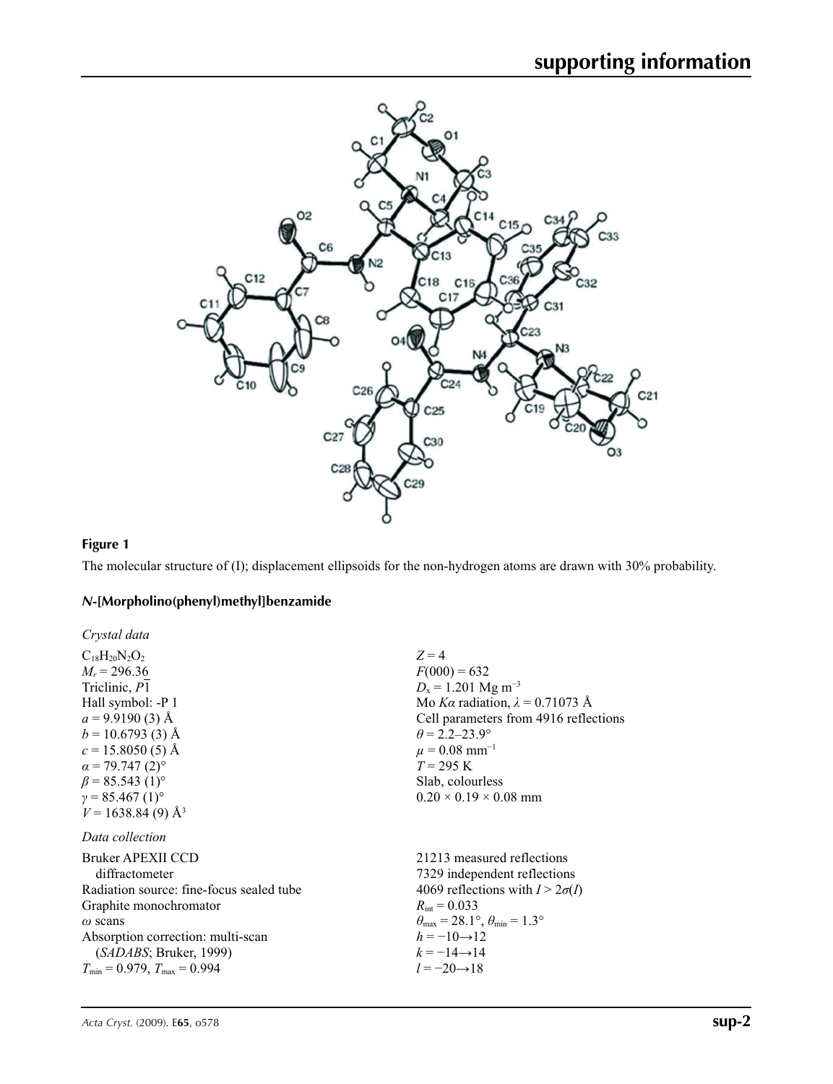

### **Figure 1**

The molecular structure of (I); displacement ellipsoids for the non-hydrogen atoms are drawn with 30% probability.

## *N***-[Morpholino(phenyl)methyl]benzamide**

| Crystal data                             |                                                                            |
|------------------------------------------|----------------------------------------------------------------------------|
| $C_{18}H_{20}N_2O_2$                     | $Z=4$                                                                      |
| $M_r = 296.36$                           | $F(000) = 632$                                                             |
| Triclinic, P1                            | $D_x = 1.201$ Mg m <sup>-3</sup>                                           |
| Hall symbol: -P 1                        | Mo Ka radiation, $\lambda = 0.71073$ Å                                     |
| $a = 9.9190(3)$ Å                        | Cell parameters from 4916 reflections                                      |
| $b = 10.6793(3)$ Å                       | $\theta$ = 2.2–23.9°                                                       |
| $c = 15.8050(5)$ Å                       | $\mu = 0.08$ mm <sup>-1</sup>                                              |
| $\alpha$ = 79.747 (2) <sup>o</sup>       | $T = 295$ K                                                                |
| $\beta$ = 85.543 (1) <sup>o</sup>        | Slab, colourless                                                           |
| $v = 85.467(1)$ °                        | $0.20 \times 0.19 \times 0.08$ mm                                          |
| $V = 1638.84(9)$ Å <sup>3</sup>          |                                                                            |
| Data collection                          |                                                                            |
| Bruker APEXII CCD                        | 21213 measured reflections                                                 |
| diffractometer                           | 7329 independent reflections                                               |
| Radiation source: fine-focus sealed tube | 4069 reflections with $I > 2\sigma(I)$                                     |
| Graphite monochromator                   | $R_{\text{int}} = 0.033$                                                   |
| $\omega$ scans                           | $\theta_{\text{max}} = 28.1^{\circ}$ , $\theta_{\text{min}} = 1.3^{\circ}$ |
| Absorption correction: multi-scan        | $h = -10 \rightarrow 12$                                                   |
| (SADABS; Bruker, 1999)                   | $k = -14 \rightarrow 14$                                                   |
| $T_{\min} = 0.979$ , $T_{\max} = 0.994$  | $l = -20 \rightarrow 18$                                                   |
|                                          |                                                                            |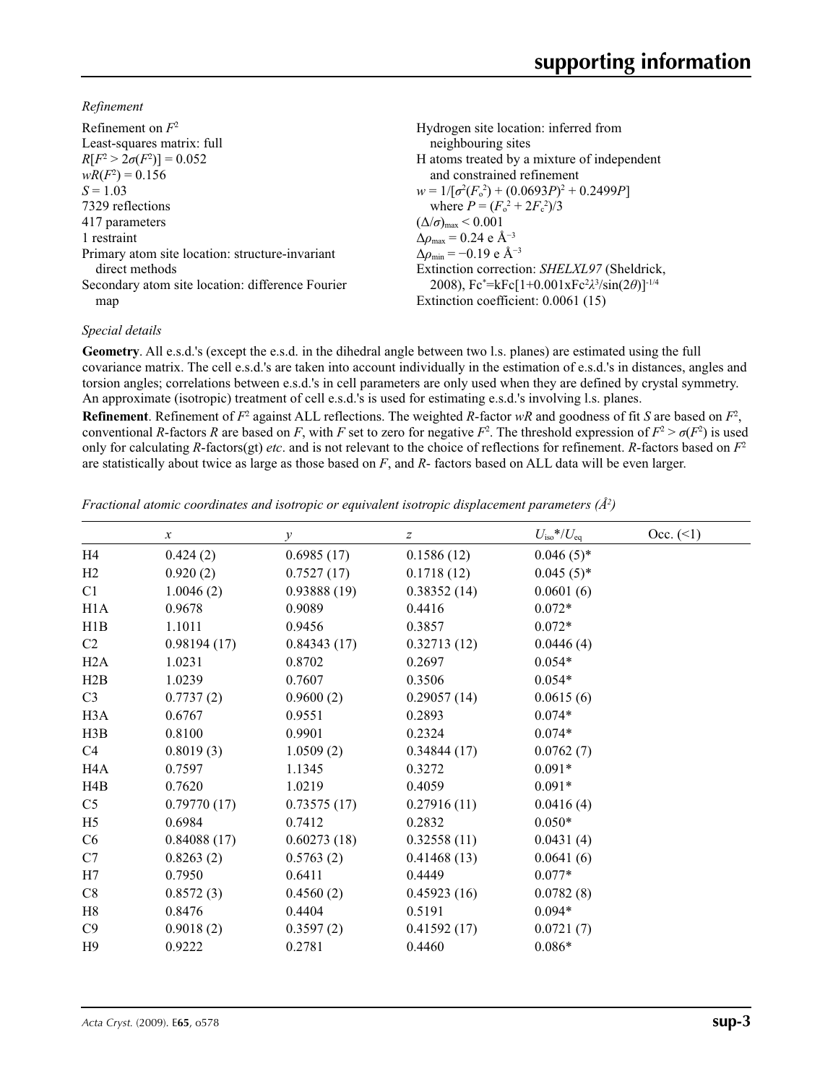*Refinement*

| Refinement on $F^2$<br>Least-squares matrix: full | Hydrogen site location: inferred from<br>neighbouring sites    |
|---------------------------------------------------|----------------------------------------------------------------|
| $R[F^2 > 2\sigma(F^2)] = 0.052$                   | H atoms treated by a mixture of independent                    |
| $wR(F^2) = 0.156$                                 | and constrained refinement                                     |
| $S = 1.03$                                        | $w = 1/[\sigma^2(F_0^2) + (0.0693P)^2 + 0.2499P]$              |
| 7329 reflections                                  | where $P = (F_o^2 + 2F_c^2)/3$                                 |
| 417 parameters                                    | $(\Delta/\sigma)_{\text{max}}$ < 0.001                         |
| 1 restraint                                       | $\Delta\rho_{\text{max}} = 0.24$ e Å <sup>-3</sup>             |
| Primary atom site location: structure-invariant   | $\Delta \rho_{\rm min} = -0.19$ e Å <sup>-3</sup>              |
| direct methods                                    | Extinction correction: SHELXL97 (Sheldrick,                    |
| Secondary atom site location: difference Fourier  | 2008), $Fc^* = kFc[1+0.001xFc^2\lambda^3/sin(2\theta)]^{-1/4}$ |
| map                                               | Extinction coefficient: 0.0061 (15)                            |

#### *Special details*

**Geometry**. All e.s.d.'s (except the e.s.d. in the dihedral angle between two l.s. planes) are estimated using the full covariance matrix. The cell e.s.d.'s are taken into account individually in the estimation of e.s.d.'s in distances, angles and torsion angles; correlations between e.s.d.'s in cell parameters are only used when they are defined by crystal symmetry. An approximate (isotropic) treatment of cell e.s.d.'s is used for estimating e.s.d.'s involving l.s. planes.

**Refinement**. Refinement of  $F^2$  against ALL reflections. The weighted *R*-factor  $wR$  and goodness of fit *S* are based on  $F^2$ , conventional *R*-factors *R* are based on *F*, with *F* set to zero for negative  $F^2$ . The threshold expression of  $F^2 > \sigma(F^2)$  is used only for calculating *R*-factors(gt) *etc*. and is not relevant to the choice of reflections for refinement. *R*-factors based on *F*<sup>2</sup> are statistically about twice as large as those based on *F*, and *R*- factors based on ALL data will be even larger.

*Fractional atomic coordinates and isotropic or equivalent isotropic displacement parameters (Å<sup>2</sup>)* 

|                  | $\mathcal{X}$ | y           | $\boldsymbol{z}$ | $U_{\rm iso}*/U_{\rm eq}$ | Occ. (2) |
|------------------|---------------|-------------|------------------|---------------------------|----------|
| H4               | 0.424(2)      | 0.6985(17)  | 0.1586(12)       | $0.046(5)$ *              |          |
| H2               | 0.920(2)      | 0.7527(17)  | 0.1718(12)       | $0.045(5)^*$              |          |
| C1               | 1.0046(2)     | 0.93888(19) | 0.38352(14)      | 0.0601(6)                 |          |
| H <sub>1</sub> A | 0.9678        | 0.9089      | 0.4416           | $0.072*$                  |          |
| H1B              | 1.1011        | 0.9456      | 0.3857           | $0.072*$                  |          |
| C <sub>2</sub>   | 0.98194(17)   | 0.84343(17) | 0.32713(12)      | 0.0446(4)                 |          |
| H2A              | 1.0231        | 0.8702      | 0.2697           | $0.054*$                  |          |
| H2B              | 1.0239        | 0.7607      | 0.3506           | $0.054*$                  |          |
| C <sub>3</sub>   | 0.7737(2)     | 0.9600(2)   | 0.29057(14)      | 0.0615(6)                 |          |
| H <sub>3</sub> A | 0.6767        | 0.9551      | 0.2893           | $0.074*$                  |          |
| H3B              | 0.8100        | 0.9901      | 0.2324           | $0.074*$                  |          |
| C4               | 0.8019(3)     | 1.0509(2)   | 0.34844(17)      | 0.0762(7)                 |          |
| H4A              | 0.7597        | 1.1345      | 0.3272           | $0.091*$                  |          |
| H4B              | 0.7620        | 1.0219      | 0.4059           | $0.091*$                  |          |
| C <sub>5</sub>   | 0.79770(17)   | 0.73575(17) | 0.27916(11)      | 0.0416(4)                 |          |
| H <sub>5</sub>   | 0.6984        | 0.7412      | 0.2832           | $0.050*$                  |          |
| C6               | 0.84088(17)   | 0.60273(18) | 0.32558(11)      | 0.0431(4)                 |          |
| C7               | 0.8263(2)     | 0.5763(2)   | 0.41468(13)      | 0.0641(6)                 |          |
| H7               | 0.7950        | 0.6411      | 0.4449           | $0.077*$                  |          |
| C8               | 0.8572(3)     | 0.4560(2)   | 0.45923(16)      | 0.0782(8)                 |          |
| H8               | 0.8476        | 0.4404      | 0.5191           | $0.094*$                  |          |
| C9               | 0.9018(2)     | 0.3597(2)   | 0.41592(17)      | 0.0721(7)                 |          |
| H9               | 0.9222        | 0.2781      | 0.4460           | $0.086*$                  |          |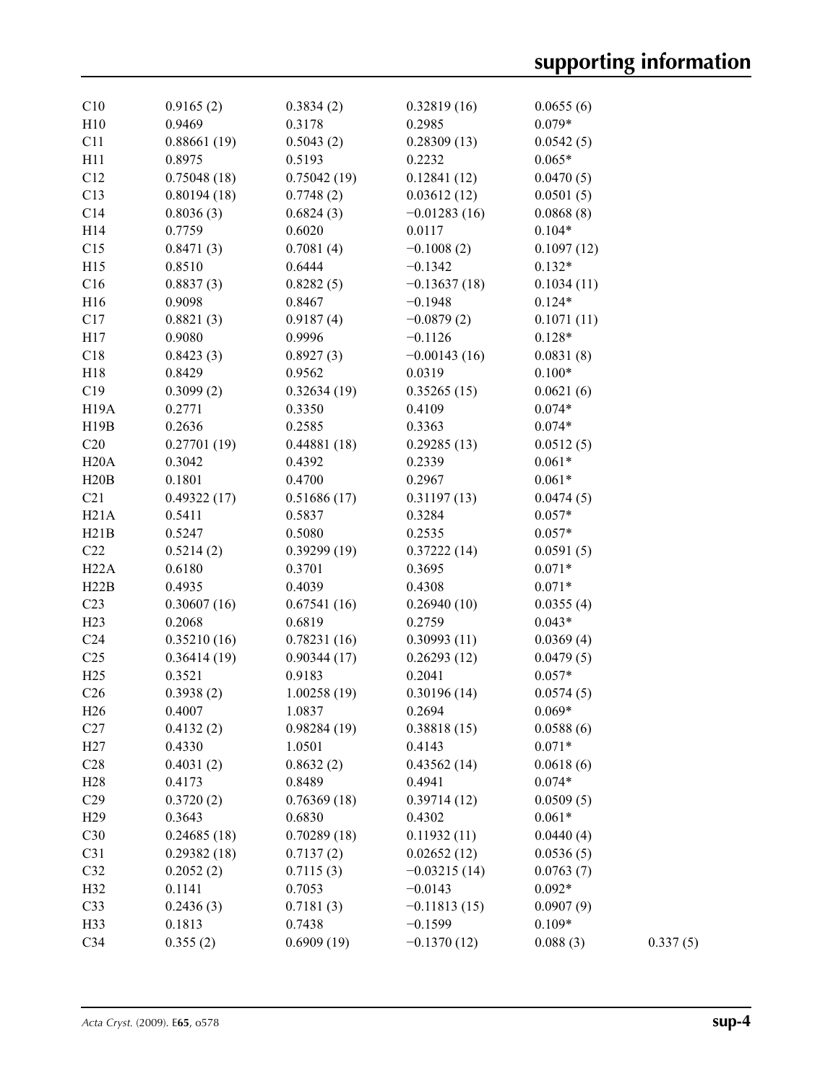| C10               | 0.9165(2)   | 0.3834(2)   | 0.32819(16)    | 0.0655(6)  |          |
|-------------------|-------------|-------------|----------------|------------|----------|
| H10               | 0.9469      | 0.3178      | 0.2985         | $0.079*$   |          |
| C11               | 0.88661(19) | 0.5043(2)   | 0.28309(13)    | 0.0542(5)  |          |
| H11               | 0.8975      | 0.5193      | 0.2232         | $0.065*$   |          |
| C12               | 0.75048(18) | 0.75042(19) | 0.12841(12)    | 0.0470(5)  |          |
| C13               | 0.80194(18) | 0.7748(2)   | 0.03612(12)    | 0.0501(5)  |          |
| C14               | 0.8036(3)   | 0.6824(3)   | $-0.01283(16)$ | 0.0868(8)  |          |
| H14               | 0.7759      | 0.6020      | 0.0117         | $0.104*$   |          |
| C15               | 0.8471(3)   | 0.7081(4)   | $-0.1008(2)$   | 0.1097(12) |          |
| H15               | 0.8510      | 0.6444      | $-0.1342$      | $0.132*$   |          |
| C16               | 0.8837(3)   | 0.8282(5)   | $-0.13637(18)$ | 0.1034(11) |          |
| H16               | 0.9098      | 0.8467      | $-0.1948$      | $0.124*$   |          |
| C17               | 0.8821(3)   | 0.9187(4)   | $-0.0879(2)$   | 0.1071(11) |          |
| H17               | 0.9080      | 0.9996      | $-0.1126$      | $0.128*$   |          |
| C18               | 0.8423(3)   | 0.8927(3)   | $-0.00143(16)$ | 0.0831(8)  |          |
| H18               | 0.8429      | 0.9562      | 0.0319         | $0.100*$   |          |
| C19               | 0.3099(2)   | 0.32634(19) | 0.35265(15)    | 0.0621(6)  |          |
| H <sub>19</sub> A | 0.2771      | 0.3350      | 0.4109         | $0.074*$   |          |
| H19B              | 0.2636      | 0.2585      | 0.3363         | $0.074*$   |          |
| C20               | 0.27701(19) | 0.44881(18) | 0.29285(13)    | 0.0512(5)  |          |
| H20A              | 0.3042      | 0.4392      | 0.2339         | $0.061*$   |          |
| H20B              | 0.1801      | 0.4700      | 0.2967         | $0.061*$   |          |
| C21               | 0.49322(17) | 0.51686(17) | 0.31197(13)    | 0.0474(5)  |          |
| H21A              | 0.5411      | 0.5837      | 0.3284         | $0.057*$   |          |
| H21B              | 0.5247      | 0.5080      | 0.2535         | $0.057*$   |          |
| C22               | 0.5214(2)   | 0.39299(19) | 0.37222(14)    | 0.0591(5)  |          |
| H22A              | 0.6180      | 0.3701      | 0.3695         | $0.071*$   |          |
| H22B              | 0.4935      | 0.4039      | 0.4308         | $0.071*$   |          |
| C <sub>23</sub>   | 0.30607(16) | 0.67541(16) | 0.26940(10)    | 0.0355(4)  |          |
| H23               | 0.2068      | 0.6819      | 0.2759         | $0.043*$   |          |
| C <sub>24</sub>   | 0.35210(16) | 0.78231(16) | 0.30993(11)    | 0.0369(4)  |          |
| C <sub>25</sub>   | 0.36414(19) | 0.90344(17) | 0.26293(12)    | 0.0479(5)  |          |
| H25               | 0.3521      | 0.9183      | 0.2041         | $0.057*$   |          |
| C <sub>26</sub>   | 0.3938(2)   | 1.00258(19) | 0.30196(14)    | 0.0574(5)  |          |
| H <sub>26</sub>   | 0.4007      | 1.0837      | 0.2694         | $0.069*$   |          |
| C27               | 0.4132(2)   | 0.98284(19) | 0.38818(15)    | 0.0588(6)  |          |
| H27               | 0.4330      | 1.0501      | 0.4143         | $0.071*$   |          |
| C28               | 0.4031(2)   | 0.8632(2)   | 0.43562(14)    | 0.0618(6)  |          |
| H28               | 0.4173      | 0.8489      | 0.4941         | $0.074*$   |          |
| C29               | 0.3720(2)   | 0.76369(18) | 0.39714(12)    | 0.0509(5)  |          |
| H <sub>29</sub>   | 0.3643      | 0.6830      | 0.4302         | $0.061*$   |          |
| C30               | 0.24685(18) | 0.70289(18) | 0.11932(11)    | 0.0440(4)  |          |
| C31               | 0.29382(18) | 0.7137(2)   | 0.02652(12)    | 0.0536(5)  |          |
| C32               | 0.2052(2)   | 0.7115(3)   | $-0.03215(14)$ | 0.0763(7)  |          |
| H32               | 0.1141      | 0.7053      | $-0.0143$      | $0.092*$   |          |
| C33               | 0.2436(3)   | 0.7181(3)   | $-0.11813(15)$ | 0.0907(9)  |          |
| H33               | 0.1813      | 0.7438      | $-0.1599$      | $0.109*$   |          |
| C34               | 0.355(2)    | 0.6909(19)  | $-0.1370(12)$  | 0.088(3)   | 0.337(5) |
|                   |             |             |                |            |          |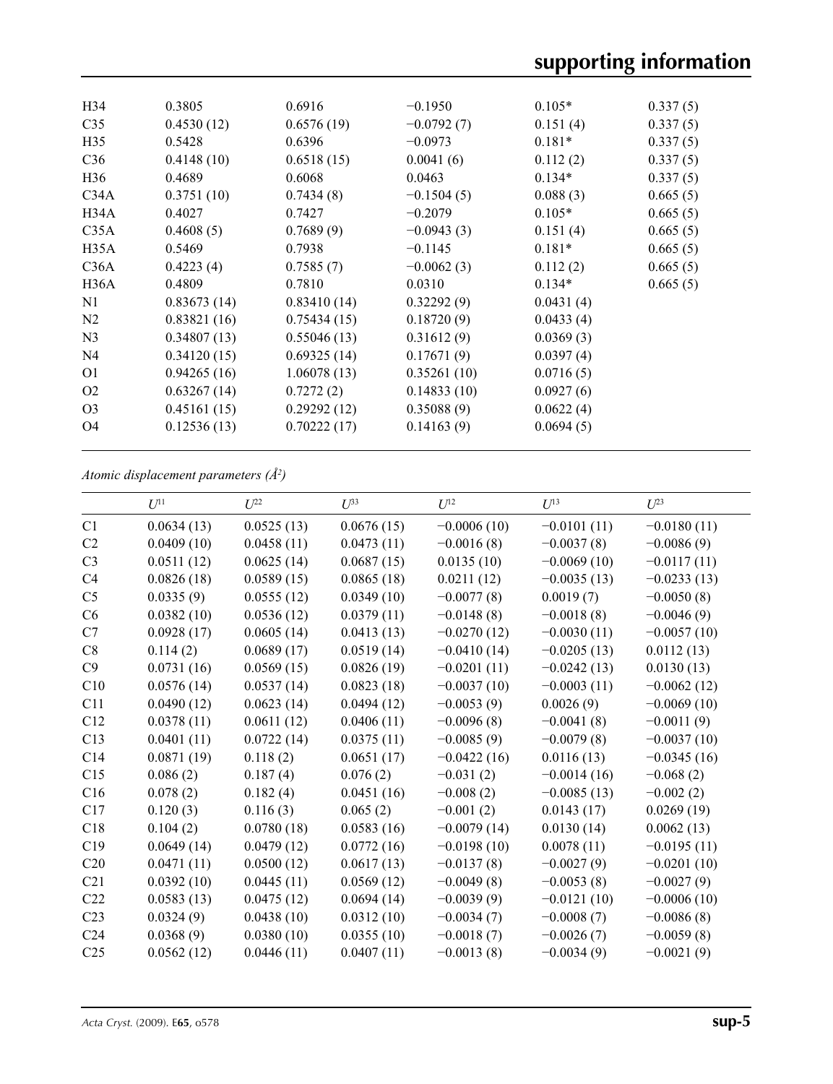| H <sub>34</sub> | 0.3805      | 0.6916      | $-0.1950$    | $0.105*$  | 0.337(5) |
|-----------------|-------------|-------------|--------------|-----------|----------|
| C <sub>35</sub> | 0.4530(12)  | 0.6576(19)  | $-0.0792(7)$ | 0.151(4)  | 0.337(5) |
| H <sub>35</sub> | 0.5428      | 0.6396      | $-0.0973$    | $0.181*$  | 0.337(5) |
| C <sub>36</sub> | 0.4148(10)  | 0.6518(15)  | 0.0041(6)    | 0.112(2)  | 0.337(5) |
| H <sub>36</sub> | 0.4689      | 0.6068      | 0.0463       | $0.134*$  | 0.337(5) |
| C34A            | 0.3751(10)  | 0.7434(8)   | $-0.1504(5)$ | 0.088(3)  | 0.665(5) |
| H34A            | 0.4027      | 0.7427      | $-0.2079$    | $0.105*$  | 0.665(5) |
| C35A            | 0.4608(5)   | 0.7689(9)   | $-0.0943(3)$ | 0.151(4)  | 0.665(5) |
| H35A            | 0.5469      | 0.7938      | $-0.1145$    | $0.181*$  | 0.665(5) |
| C36A            | 0.4223(4)   | 0.7585(7)   | $-0.0062(3)$ | 0.112(2)  | 0.665(5) |
| H36A            | 0.4809      | 0.7810      | 0.0310       | $0.134*$  | 0.665(5) |
| N1              | 0.83673(14) | 0.83410(14) | 0.32292(9)   | 0.0431(4) |          |
| N <sub>2</sub>  | 0.83821(16) | 0.75434(15) | 0.18720(9)   | 0.0433(4) |          |
| N <sub>3</sub>  | 0.34807(13) | 0.55046(13) | 0.31612(9)   | 0.0369(3) |          |
| N <sub>4</sub>  | 0.34120(15) | 0.69325(14) | 0.17671(9)   | 0.0397(4) |          |
| O <sub>1</sub>  | 0.94265(16) | 1.06078(13) | 0.35261(10)  | 0.0716(5) |          |
| O <sub>2</sub>  | 0.63267(14) | 0.7272(2)   | 0.14833(10)  | 0.0927(6) |          |
| O <sub>3</sub>  | 0.45161(15) | 0.29292(12) | 0.35088(9)   | 0.0622(4) |          |
| O4              | 0.12536(13) | 0.70222(17) | 0.14163(9)   | 0.0694(5) |          |
|                 |             |             |              |           |          |

*Atomic displacement parameters (Å2 )*

|                 | I/I <sup>11</sup> | $U^{22}$   | $U^{33}$   | $I^{12}$      | $U^{13}$      | $U^{23}$      |
|-----------------|-------------------|------------|------------|---------------|---------------|---------------|
| C1              | 0.0634(13)        | 0.0525(13) | 0.0676(15) | $-0.0006(10)$ | $-0.0101(11)$ | $-0.0180(11)$ |
| C2              | 0.0409(10)        | 0.0458(11) | 0.0473(11) | $-0.0016(8)$  | $-0.0037(8)$  | $-0.0086(9)$  |
| C <sub>3</sub>  | 0.0511(12)        | 0.0625(14) | 0.0687(15) | 0.0135(10)    | $-0.0069(10)$ | $-0.0117(11)$ |
| C <sub>4</sub>  | 0.0826(18)        | 0.0589(15) | 0.0865(18) | 0.0211(12)    | $-0.0035(13)$ | $-0.0233(13)$ |
| C <sub>5</sub>  | 0.0335(9)         | 0.0555(12) | 0.0349(10) | $-0.0077(8)$  | 0.0019(7)     | $-0.0050(8)$  |
| C6              | 0.0382(10)        | 0.0536(12) | 0.0379(11) | $-0.0148(8)$  | $-0.0018(8)$  | $-0.0046(9)$  |
| C7              | 0.0928(17)        | 0.0605(14) | 0.0413(13) | $-0.0270(12)$ | $-0.0030(11)$ | $-0.0057(10)$ |
| C8              | 0.114(2)          | 0.0689(17) | 0.0519(14) | $-0.0410(14)$ | $-0.0205(13)$ | 0.0112(13)    |
| C9              | 0.0731(16)        | 0.0569(15) | 0.0826(19) | $-0.0201(11)$ | $-0.0242(13)$ | 0.0130(13)    |
| C10             | 0.0576(14)        | 0.0537(14) | 0.0823(18) | $-0.0037(10)$ | $-0.0003(11)$ | $-0.0062(12)$ |
| C11             | 0.0490(12)        | 0.0623(14) | 0.0494(12) | $-0.0053(9)$  | 0.0026(9)     | $-0.0069(10)$ |
| C12             | 0.0378(11)        | 0.0611(12) | 0.0406(11) | $-0.0096(8)$  | $-0.0041(8)$  | $-0.0011(9)$  |
| C13             | 0.0401(11)        | 0.0722(14) | 0.0375(11) | $-0.0085(9)$  | $-0.0079(8)$  | $-0.0037(10)$ |
| C14             | 0.0871(19)        | 0.118(2)   | 0.0651(17) | $-0.0422(16)$ | 0.0116(13)    | $-0.0345(16)$ |
| C15             | 0.086(2)          | 0.187(4)   | 0.076(2)   | $-0.031(2)$   | $-0.0014(16)$ | $-0.068(2)$   |
| C16             | 0.078(2)          | 0.182(4)   | 0.0451(16) | $-0.008(2)$   | $-0.0085(13)$ | $-0.002(2)$   |
| C17             | 0.120(3)          | 0.116(3)   | 0.065(2)   | $-0.001(2)$   | 0.0143(17)    | 0.0269(19)    |
| C18             | 0.104(2)          | 0.0780(18) | 0.0583(16) | $-0.0079(14)$ | 0.0130(14)    | 0.0062(13)    |
| C19             | 0.0649(14)        | 0.0479(12) | 0.0772(16) | $-0.0198(10)$ | 0.0078(11)    | $-0.0195(11)$ |
| C20             | 0.0471(11)        | 0.0500(12) | 0.0617(13) | $-0.0137(8)$  | $-0.0027(9)$  | $-0.0201(10)$ |
| C21             | 0.0392(10)        | 0.0445(11) | 0.0569(12) | $-0.0049(8)$  | $-0.0053(8)$  | $-0.0027(9)$  |
| C22             | 0.0583(13)        | 0.0475(12) | 0.0694(14) | $-0.0039(9)$  | $-0.0121(10)$ | $-0.0006(10)$ |
| C <sub>23</sub> | 0.0324(9)         | 0.0438(10) | 0.0312(10) | $-0.0034(7)$  | $-0.0008(7)$  | $-0.0086(8)$  |
| C <sub>24</sub> | 0.0368(9)         | 0.0380(10) | 0.0355(10) | $-0.0018(7)$  | $-0.0026(7)$  | $-0.0059(8)$  |
| C <sub>25</sub> | 0.0562(12)        | 0.0446(11) | 0.0407(11) | $-0.0013(8)$  | $-0.0034(9)$  | $-0.0021(9)$  |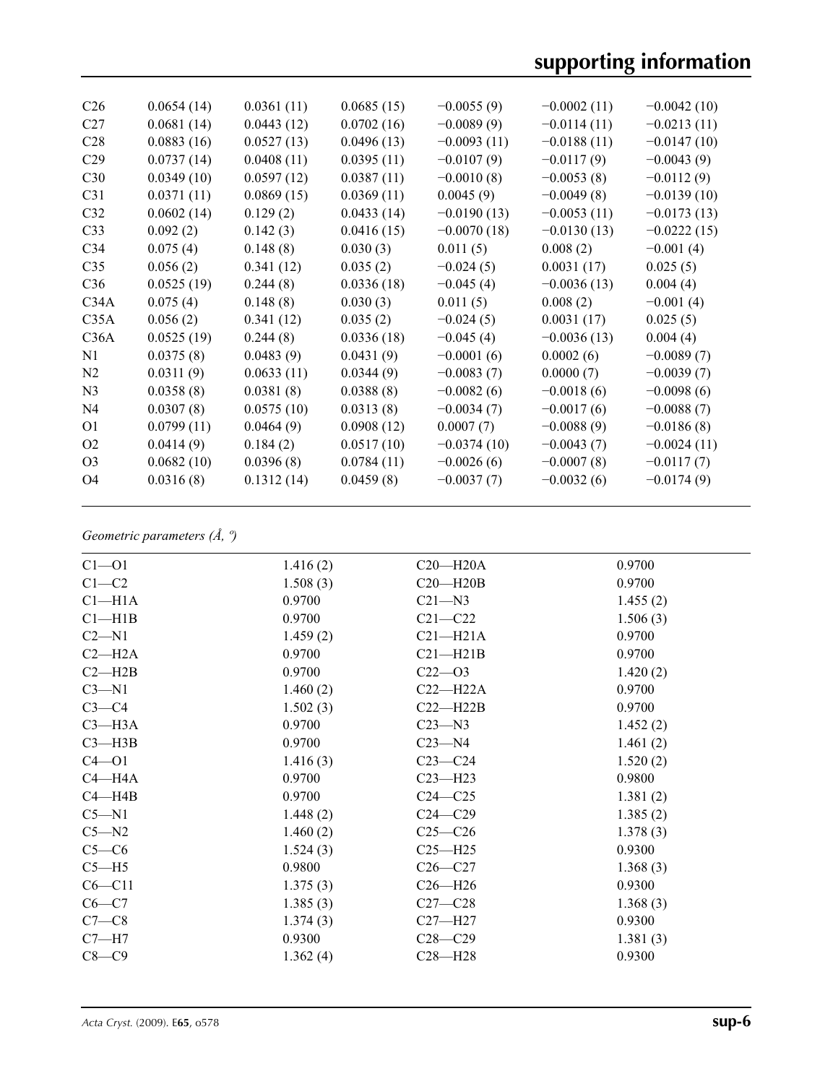| C <sub>26</sub> | 0.0654(14) | 0.0361(11) | 0.0685(15) | $-0.0055(9)$  | $-0.0002(11)$ | $-0.0042(10)$ |
|-----------------|------------|------------|------------|---------------|---------------|---------------|
| C <sub>27</sub> | 0.0681(14) | 0.0443(12) | 0.0702(16) | $-0.0089(9)$  | $-0.0114(11)$ | $-0.0213(11)$ |
| C <sub>28</sub> | 0.0883(16) | 0.0527(13) | 0.0496(13) | $-0.0093(11)$ | $-0.0188(11)$ | $-0.0147(10)$ |
| C <sub>29</sub> | 0.0737(14) | 0.0408(11) | 0.0395(11) | $-0.0107(9)$  | $-0.0117(9)$  | $-0.0043(9)$  |
| C30             | 0.0349(10) | 0.0597(12) | 0.0387(11) | $-0.0010(8)$  | $-0.0053(8)$  | $-0.0112(9)$  |
| C <sub>31</sub> | 0.0371(11) | 0.0869(15) | 0.0369(11) | 0.0045(9)     | $-0.0049(8)$  | $-0.0139(10)$ |
| C32             | 0.0602(14) | 0.129(2)   | 0.0433(14) | $-0.0190(13)$ | $-0.0053(11)$ | $-0.0173(13)$ |
| C <sub>33</sub> | 0.092(2)   | 0.142(3)   | 0.0416(15) | $-0.0070(18)$ | $-0.0130(13)$ | $-0.0222(15)$ |
| C <sub>34</sub> | 0.075(4)   | 0.148(8)   | 0.030(3)   | 0.011(5)      | 0.008(2)      | $-0.001(4)$   |
| C <sub>35</sub> | 0.056(2)   | 0.341(12)  | 0.035(2)   | $-0.024(5)$   | 0.0031(17)    | 0.025(5)      |
| C <sub>36</sub> | 0.0525(19) | 0.244(8)   | 0.0336(18) | $-0.045(4)$   | $-0.0036(13)$ | 0.004(4)      |
| C34A            | 0.075(4)   | 0.148(8)   | 0.030(3)   | 0.011(5)      | 0.008(2)      | $-0.001(4)$   |
| C35A            | 0.056(2)   | 0.341(12)  | 0.035(2)   | $-0.024(5)$   | 0.0031(17)    | 0.025(5)      |
| C36A            | 0.0525(19) | 0.244(8)   | 0.0336(18) | $-0.045(4)$   | $-0.0036(13)$ | 0.004(4)      |
| N1              | 0.0375(8)  | 0.0483(9)  | 0.0431(9)  | $-0.0001(6)$  | 0.0002(6)     | $-0.0089(7)$  |
| N <sub>2</sub>  | 0.0311(9)  | 0.0633(11) | 0.0344(9)  | $-0.0083(7)$  | 0.0000(7)     | $-0.0039(7)$  |
| N <sub>3</sub>  | 0.0358(8)  | 0.0381(8)  | 0.0388(8)  | $-0.0082(6)$  | $-0.0018(6)$  | $-0.0098(6)$  |
| N <sub>4</sub>  | 0.0307(8)  | 0.0575(10) | 0.0313(8)  | $-0.0034(7)$  | $-0.0017(6)$  | $-0.0088(7)$  |
| O <sub>1</sub>  | 0.0799(11) | 0.0464(9)  | 0.0908(12) | 0.0007(7)     | $-0.0088(9)$  | $-0.0186(8)$  |
| O <sub>2</sub>  | 0.0414(9)  | 0.184(2)   | 0.0517(10) | $-0.0374(10)$ | $-0.0043(7)$  | $-0.0024(11)$ |
| O <sub>3</sub>  | 0.0682(10) | 0.0396(8)  | 0.0784(11) | $-0.0026(6)$  | $-0.0007(8)$  | $-0.0117(7)$  |
| O4              | 0.0316(8)  | 0.1312(14) | 0.0459(8)  | $-0.0037(7)$  | $-0.0032(6)$  | $-0.0174(9)$  |
|                 |            |            |            |               |               |               |

## *Geometric parameters (Å, º)*

| $C1 - 01$          | 1.416(2) | $C20 - H20A$ | 0.9700   |
|--------------------|----------|--------------|----------|
| $C1-C2$            | 1.508(3) | $C20 - H20B$ | 0.9700   |
| Cl <sub>–H1A</sub> | 0.9700   | $C21 - N3$   | 1.455(2) |
| Cl—H1B             | 0.9700   | $C21 - C22$  | 1.506(3) |
| $C2 - N1$          | 1.459(2) | $C21 - H21A$ | 0.9700   |
| $C2 - H2A$         | 0.9700   | $C21 - H21B$ | 0.9700   |
| $C2 - H2B$         | 0.9700   | $C22 - 03$   | 1.420(2) |
| $C3 - N1$          | 1.460(2) | $C22-H22A$   | 0.9700   |
| $C3-C4$            | 1.502(3) | $C22-H22B$   | 0.9700   |
| $C3$ —H $3A$       | 0.9700   | $C23 - N3$   | 1.452(2) |
| $C3$ —H3B          | 0.9700   | $C23 - N4$   | 1.461(2) |
| $C4 - 01$          | 1.416(3) | $C23-C24$    | 1.520(2) |
| $C4 - H4A$         | 0.9700   | $C23 - H23$  | 0.9800   |
| $C4 - H4B$         | 0.9700   | $C24 - C25$  | 1.381(2) |
| $C5 - N1$          | 1.448(2) | $C24 - C29$  | 1.385(2) |
| $C5 - N2$          | 1.460(2) | $C25 - C26$  | 1.378(3) |
| $C5-C6$            | 1.524(3) | $C25 - H25$  | 0.9300   |
| $C5 - H5$          | 0.9800   | $C26-C27$    | 1.368(3) |
| $C6 - C11$         | 1.375(3) | $C26 - H26$  | 0.9300   |
| $C6-C7$            | 1.385(3) | $C27 - C28$  | 1.368(3) |
| $C7-C8$            | 1.374(3) | $C27 - H27$  | 0.9300   |
| $C7 - H7$          | 0.9300   | $C28 - C29$  | 1.381(3) |
| $C8-C9$            | 1.362(4) | $C28 - H28$  | 0.9300   |
|                    |          |              |          |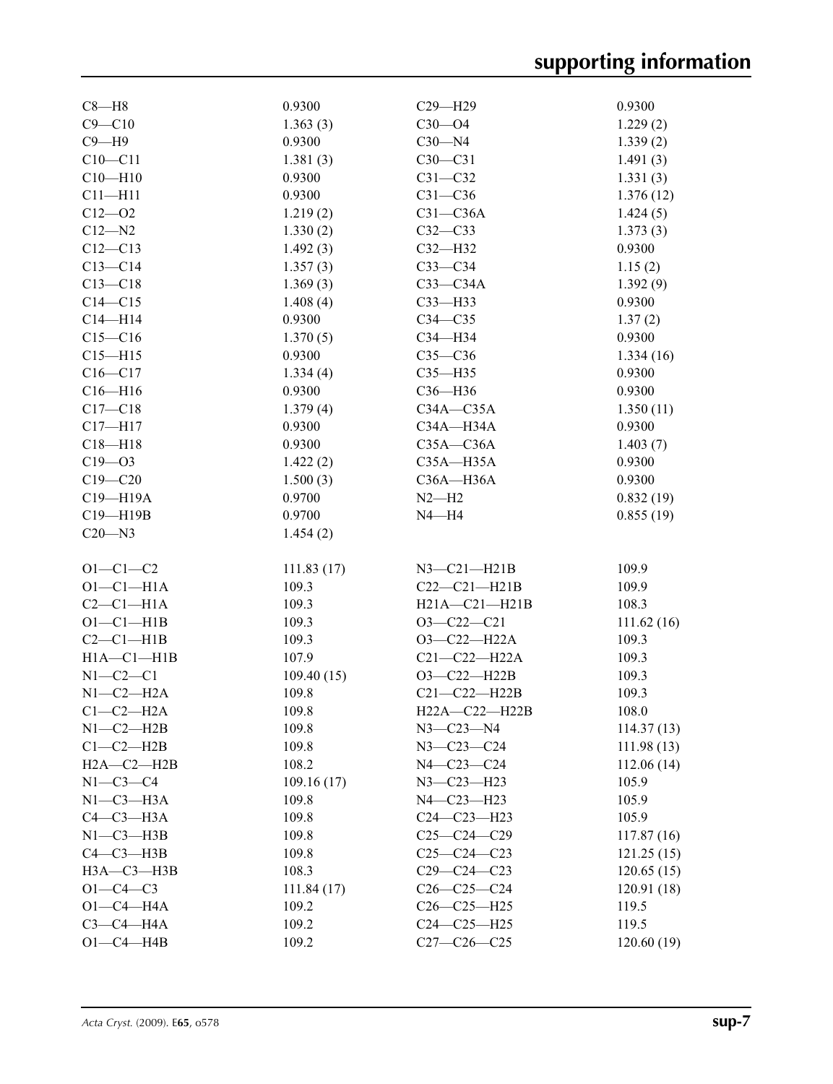| $C8 - H8$                 | 0.9300              | $C29 - H29$         | 0.9300      |
|---------------------------|---------------------|---------------------|-------------|
| $C9 - C10$                | 1.363(3)            | $C30 - O4$          | 1.229(2)    |
| $C9 - H9$                 | 0.9300              | $C30 - N4$          | 1.339(2)    |
| $C10 - C11$               | 1.381(3)            | $C30-C31$           | 1.491(3)    |
| $C10 - H10$               | 0.9300              | $C31 - C32$         | 1.331(3)    |
| $C11 - H11$               | 0.9300              | $C31 - C36$         | 1.376(12)   |
| $C12 - 02$                | 1.219(2)            | $C31 - C36A$        | 1.424(5)    |
| $C12 - N2$                | 1.330(2)            | $C32-C33$           | 1.373(3)    |
| $C12 - C13$               | 1.492(3)            | $C32 - H32$         | 0.9300      |
| $C13-C14$                 | 1.357(3)            | $C33-C34$           | 1.15(2)     |
| $C13 - C18$               | 1.369(3)            | $C33-C34A$          | 1.392(9)    |
| $C14 - C15$               | 1.408(4)            | $C33$ -H33          | 0.9300      |
| $C14 - H14$               | 0.9300              | $C34 - C35$         | 1.37(2)     |
| $C15 - C16$               | 1.370(5)            | C34-H34             | 0.9300      |
| $C15 - H15$               | 0.9300              | $C35-C36$           | 1.334(16)   |
| $C16 - C17$               | 1.334(4)            | $C35 - H35$         | 0.9300      |
|                           |                     | $C36 - H36$         | 0.9300      |
| $C16 - H16$               | 0.9300              | $C34A - C35A$       |             |
| $C17 - C18$               | 1.379(4)            |                     | 1.350(11)   |
| $C17 - H17$               | 0.9300              | C34A-H34A           | 0.9300      |
| $C18 - H18$               | 0.9300              | $C35A - C36A$       | 1.403(7)    |
| $C19 - 03$                | 1.422(2)            | $C35A - H35A$       | 0.9300      |
| $C19 - C20$               | 1.500(3)            | $C36A - H36A$       | 0.9300      |
| C19-H19A                  | 0.9700              | $N2-H2$             | 0.832(19)   |
| C19-H19B                  | 0.9700              | $N4 - H4$           | 0.855(19)   |
| $C20 - N3$                | 1.454(2)            |                     |             |
| $O1 - C1 - C2$            | 111.83(17)          | $N3-C21-H21B$       | 109.9       |
| $O1-C1-H1A$               | 109.3               | $C22-C21-H21B$      | 109.9       |
| $C2-C1-H1A$               | 109.3               | $H21A - C21 - H21B$ | 108.3       |
| $O1-C1-H1B$               | 109.3               | $O3 - C22 - C21$    | 111.62(16)  |
| $C2-C1-H1B$               | 109.3               | $O3-C22-H22A$       | 109.3       |
| $H1A - C1 - H1B$          | 107.9               | $C21 - C22 - H22A$  | 109.3       |
|                           |                     | O3-C22-H22B         |             |
| $N1-C2-C1$<br>$N1-C2-H2A$ | 109.40(15)<br>109.8 |                     | 109.3       |
|                           |                     | $C21-C22-H22B$      | 109.3       |
| $C1-C2-H2A$               | 109.8               | $H22A - C22 - H22B$ | 108.0       |
| $N1-C2-H2B$               | 109.8               | $N3 - C23 - N4$     | 114.37(13)  |
| $C1-C2-H2B$               | 109.8               | N3-C23-C24          | 111.98(13)  |
| $H2A - C2 - H2B$          | 108.2               | N4-C23-C24          | 112.06(14)  |
| $N1-C3-C4$                | 109.16(17)          | $N3 - C23 - H23$    | 105.9       |
| $N1-C3-H3A$               | 109.8               | N4-C23-H23          | 105.9       |
| $C4-C3-H3A$               | 109.8               | $C24 - C23 - H23$   | 105.9       |
| $N1-C3-H3B$               | 109.8               | $C25-C24-C29$       | 117.87 (16) |
| $C4-C3-H3B$               | 109.8               | $C25-C24-C23$       | 121.25(15)  |
| $H3A - C3 - H3B$          | 108.3               | $C29 - C24 - C23$   | 120.65(15)  |
| $O1 - C4 - C3$            | 111.84(17)          | $C26-C25-C24$       | 120.91(18)  |
| $O1-C4$ -H4A              | 109.2               | $C26-C25-H25$       | 119.5       |
| $C3-C4-H4A$               | 109.2               | $C24-C25-H25$       | 119.5       |
| $O1-C4$ -H4B              | 109.2               | $C27 - C26 - C25$   | 120.60(19)  |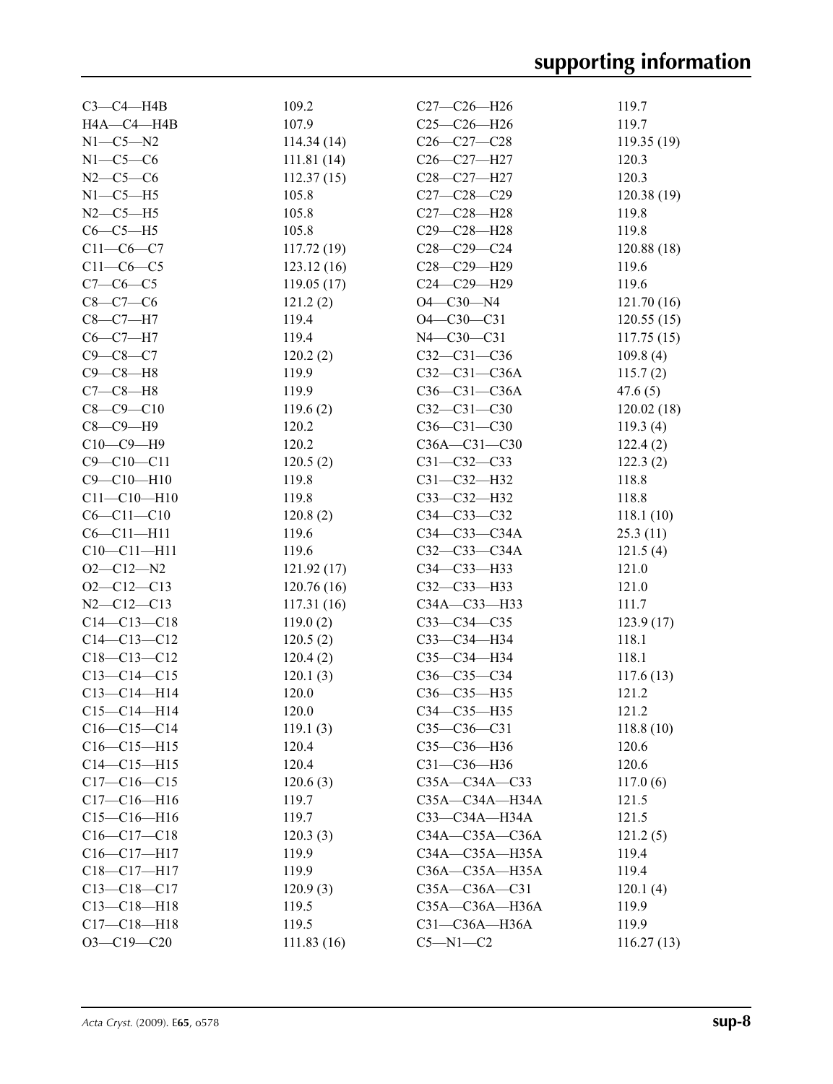| $C3-C4-HAB$       | 109.2      | $C27-C26-H26$        | 119.7       |
|-------------------|------------|----------------------|-------------|
| H4A-C4-H4B        | 107.9      | $C25-C26 - H26$      | 119.7       |
| $N1-C5-N2$        | 114.34(14) | $C26 - C27 - C28$    | 119.35(19)  |
| $N1-C5-C6$        | 111.81(14) | C26-C27-H27          | 120.3       |
| $N2 - C5 - C6$    | 112.37(15) | C28-C27-H27          | 120.3       |
| $N1-C5-H5$        | 105.8      | $C27 - C28 - C29$    | 120.38(19)  |
| $N2-C5-H5$        | 105.8      | C27-C28-H28          | 119.8       |
| $C6-C5-H5$        | 105.8      | C29-C28-H28          | 119.8       |
| $C11-C6-C7$       | 117.72(19) | $C28 - C29 - C24$    | 120.88 (18) |
| $C11-C6-C5$       | 123.12(16) | C28-C29-H29          | 119.6       |
| $C7 - C6 - C5$    | 119.05(17) | C24-C29-H29          | 119.6       |
| $C8-C7-C6$        | 121.2(2)   | $O4 - C30 - N4$      | 121.70(16)  |
| $C8-C7-H7$        | 119.4      | $O4 - C30 - C31$     | 120.55(15)  |
| $C6-C7-H7$        | 119.4      | N4-C30-C31           | 117.75(15)  |
| $C9-C8-C7$        | 120.2(2)   | $C32 - C31 - C36$    | 109.8(4)    |
| $C9 - C8 - H8$    | 119.9      | $C32-C31-C36A$       | 115.7(2)    |
| $C7-C8-H8$        | 119.9      | $C36-C31-C36A$       | 47.6(5)     |
| $C8 - C9 - C10$   | 119.6(2)   | $C32-C31-C30$        | 120.02(18)  |
| $C8-C9-H9$        | 120.2      | $C36 - C31 - C30$    | 119.3(4)    |
| $C10-C9-H9$       | 120.2      | $C36A - C31 - C30$   | 122.4(2)    |
| $C9 - C10 - C11$  | 120.5(2)   | $C31 - C32 - C33$    | 122.3(2)    |
| $C9 - C10 - H10$  | 119.8      | C31-C32-H32          | 118.8       |
| $C11 - C10 - H10$ | 119.8      | C33-C32-H32          | 118.8       |
| $C6 - C11 - C10$  | 120.8(2)   | C34-C33-C32          | 118.1(10)   |
| $C6 - C11 - H11$  | 119.6      | $C34 - C33 - C34A$   | 25.3(11)    |
| $C10 - C11 - H11$ | 119.6      | $C32 - C33 - C34A$   | 121.5(4)    |
| $O2 - C12 - N2$   | 121.92(17) | C34-C33-H33          | 121.0       |
| $O2 - C12 - C13$  | 120.76(16) | C32-C33-H33          | 121.0       |
| $N2 - C12 - C13$  | 117.31(16) | C34A-C33-H33         | 111.7       |
| $C14 - C13 - C18$ | 119.0(2)   | $C33-C34-C35$        | 123.9(17)   |
| $C14 - C13 - C12$ | 120.5(2)   | C33-C34-H34          | 118.1       |
| $C18 - C13 - C12$ | 120.4(2)   | $C35-C34-H34$        | 118.1       |
| $C13 - C14 - C15$ | 120.1(3)   | $C36-C35-C34$        | 117.6(13)   |
| $C13 - C14 - H14$ | 120.0      | C36-C35-H35          | 121.2       |
| $C15 - C14 - H14$ | 120.0      | C34-C35-H35          | 121.2       |
| $C16-C15-C14$     | 119.1(3)   | $C35 - C36 - C31$    | 118.8(10)   |
| $C16-C15-H15$     | 120.4      | C35-C36-H36          | 120.6       |
| $C14 - C15 - H15$ | 120.4      | C31-C36-H36          | 120.6       |
| $C17 - C16 - C15$ | 120.6(3)   | C35A-C34A-C33        | 117.0(6)    |
| $C17 - C16 - H16$ | 119.7      | C35A—C34A—H34A       | 121.5       |
| $C15 - C16 - H16$ | 119.7      | C33-C34A-H34A        | 121.5       |
| $C16 - C17 - C18$ | 120.3(3)   | $C34A - C35A - C36A$ | 121.2(5)    |
| $C16 - C17 - H17$ | 119.9      | C34A-C35A-H35A       | 119.4       |
| $C18 - C17 - H17$ | 119.9      | $C36A - C35A - H35A$ | 119.4       |
| $C13 - C18 - C17$ | 120.9(3)   | $C35A - C36A - C31$  | 120.1(4)    |
| $C13 - C18 - H18$ | 119.5      | C35A-C36A-H36A       | 119.9       |
| $C17 - C18 - H18$ | 119.5      | C31-C36A-H36A        | 119.9       |
| $O3-C19-C20$      | 111.83(16) | $C5 - N1 - C2$       | 116.27(13)  |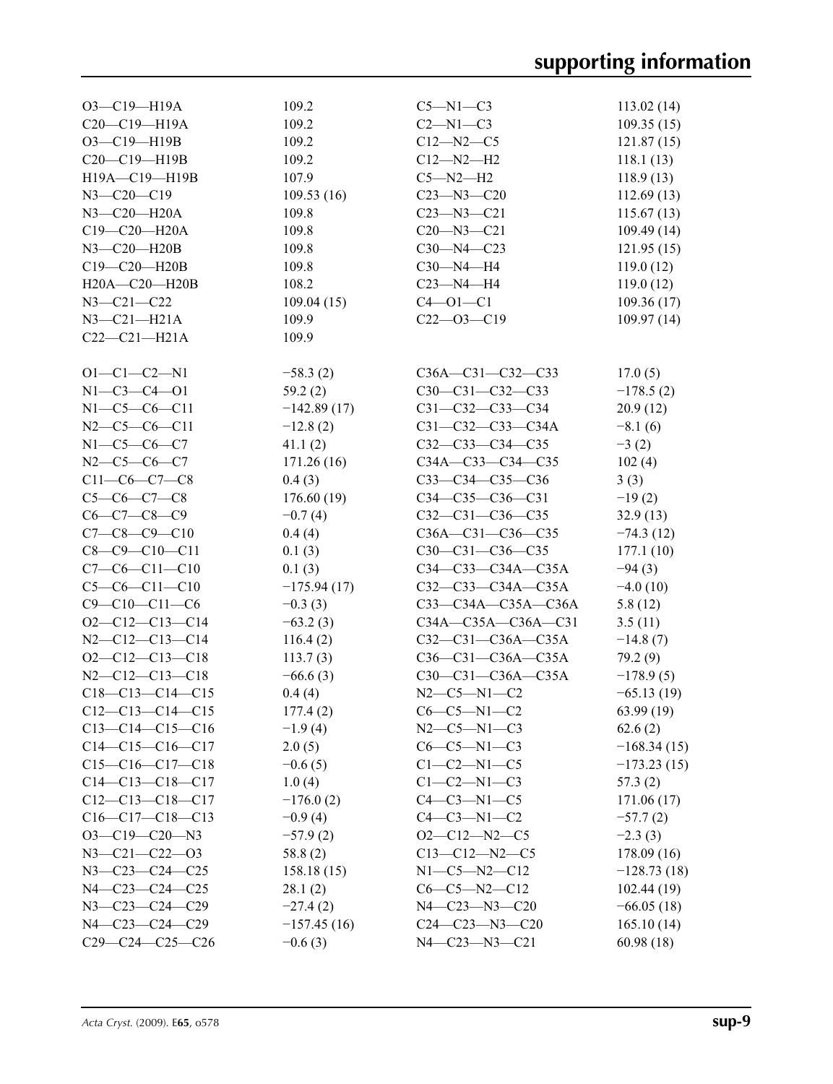| O3-C19-H19A            | 109.2         | $C5-M1-C3$             |               |
|------------------------|---------------|------------------------|---------------|
|                        |               |                        | 113.02(14)    |
| C20-C19-H19A           | 109.2         | $C2-M1-C3$             | 109.35(15)    |
| O3-C19-H19B            | 109.2         | $C12 - N2 - C5$        | 121.87(15)    |
| C20-C19-H19B           | 109.2         | $C12 - N2 - H2$        | 118.1(13)     |
| H19A-C19-H19B          | 107.9         | $C5 - N2 - H2$         | 118.9(13)     |
| $N3 - C20 - C19$       | 109.53(16)    | $C23 - N3 - C20$       | 112.69(13)    |
| $N3$ –C20–H20A         | 109.8         | $C23 - N3 - C21$       | 115.67(13)    |
| C19-C20-H20A           | 109.8         | $C20 - N3 - C21$       | 109.49(14)    |
| N3-C20-H20B            | 109.8         | $C30 - N4 - C23$       | 121.95(15)    |
| C19-C20-H20B           | 109.8         | $C30 - N4 - H4$        | 119.0(12)     |
| H20A-C20-H20B          | 108.2         | $C23 - N4 - H4$        | 119.0(12)     |
| $N3 - C21 - C22$       | 109.04(15)    | $C4 - 01 - C1$         | 109.36(17)    |
| $N3-C21-H21A$          | 109.9         | $C22 - 03 - C19$       | 109.97(14)    |
| $C22-C21-H21A$         | 109.9         |                        |               |
|                        |               |                        |               |
| $O1 - C1 - C2 - N1$    | $-58.3(2)$    | C36A-C31-C32-C33       | 17.0(5)       |
| $N1 - C3 - C4 - 01$    | 59.2(2)       | $C30-C31-C32-C33$      | $-178.5(2)$   |
| $N1 - C5 - C6 - C11$   |               |                        |               |
|                        | $-142.89(17)$ | C31-C32-C33-C34        | 20.9(12)      |
| $N2-C5-C6-C11$         | $-12.8(2)$    | C31-C32-C33-C34A       | $-8.1(6)$     |
| $N1 - C5 - C6 - C7$    | 41.1(2)       | $C32-C33-C34-C35$      | $-3(2)$       |
| $N2-C5-C6-C7$          | 171.26(16)    | C34A-C33-C34-C35       | 102(4)        |
| $C11-C6-C7-C8$         | 0.4(3)        | $C33-C34-C35-C36$      | 3(3)          |
| $C5-C6-C7-C8$          | 176.60(19)    | $C34-C35-C36-C31$      | $-19(2)$      |
| $C6 - C7 - C8 - C9$    | $-0.7(4)$     | $C32-C31-C36-C35$      | 32.9(13)      |
| $C7-C8-C9-C10$         | 0.4(4)        | C36A-C31-C36-C35       | $-74.3(12)$   |
| $C8 - C9 - C10 - C11$  | 0.1(3)        | $C30-C31-C36-C35$      | 177.1(10)     |
| $C7-C6-C11-C10$        | 0.1(3)        | C34-C33-C34A-C35A      | $-94(3)$      |
| $C5-C6-C11-C10$        | $-175.94(17)$ | C32-C33-C34A-C35A      | $-4.0(10)$    |
| $C9 - C10 - C11 - C6$  | $-0.3(3)$     | $C33-C34A-C35A-C36A$   | 5.8(12)       |
| $O2-C12-C13-C14$       | $-63.2(3)$    | C34A-C35A-C36A-C31     | 3.5(11)       |
| $N2 - C12 - C13 - C14$ | 116.4(2)      | C32-C31-C36A-C35A      | $-14.8(7)$    |
| $O2-C12-C13-C18$       | 113.7(3)      | C36-C31-C36A-C35A      | 79.2 (9)      |
| $N2 - C12 - C13 - C18$ | $-66.6(3)$    | C30-C31-C36A-C35A      | $-178.9(5)$   |
| $C18-C13-C14-C15$      | 0.4(4)        | $N2 - C5 - N1 - C2$    | $-65.13(19)$  |
| $C12-C13-C14-C15$      | 177.4(2)      | $C6-C5-N1-C2$          | 63.99(19)     |
| $C13-C14-C15-C16$      | $-1.9(4)$     | $N2-C5-N1-C3$          | 62.6(2)       |
| $C14-C15-C16-C17$      | 2.0(5)        | $C6-C5-N1-C3$          | $-168.34(15)$ |
| $C15-C16-C17-C18$      |               |                        |               |
|                        | $-0.6(5)$     | $C1-C2-M1-C5$          | $-173.23(15)$ |
| $C14-C13-C18-C17$      | 1.0(4)        | $C1-C2-N1-C3$          | 57.3(2)       |
| $C12-C13-C18-C17$      | $-176.0(2)$   | $C4-C3-N1-C5$          | 171.06(17)    |
| $C16-C17-C18-C13$      | $-0.9(4)$     | $C4-C3-N1-C2$          | $-57.7(2)$    |
| $O3 - C19 - C20 - N3$  | $-57.9(2)$    | $O2-C12-N2-C5$         | $-2.3(3)$     |
| $N3 - C21 - C22 - 03$  | 58.8 (2)      | $C13-C12-N2-C5$        | 178.09(16)    |
| $N3 - C23 - C24 - C25$ | 158.18(15)    | $N1-C5-N2-C12$         | $-128.73(18)$ |
| $N4 - C23 - C24 - C25$ | 28.1(2)       | $C6-C5-N2-C12$         | 102.44(19)    |
| N3-C23-C24-C29         | $-27.4(2)$    | $N4 - C23 - N3 - C20$  | $-66.05(18)$  |
| N4-C23-C24-C29         | $-157.45(16)$ | $C24 - C23 - N3 - C20$ | 165.10(14)    |
| $C29-C24-C25-C26$      | $-0.6(3)$     | $N4 - C23 - N3 - C21$  | 60.98(18)     |